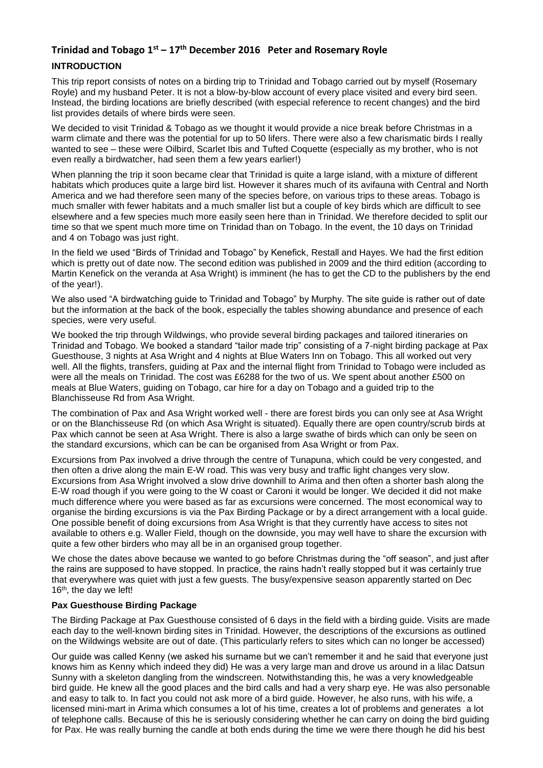# **Trinidad and Tobago 1st – 17th December 2016 Peter and Rosemary Royle**

# **INTRODUCTION**

This trip report consists of notes on a birding trip to Trinidad and Tobago carried out by myself (Rosemary Royle) and my husband Peter. It is not a blow-by-blow account of every place visited and every bird seen. Instead, the birding locations are briefly described (with especial reference to recent changes) and the bird list provides details of where birds were seen.

We decided to visit Trinidad & Tobago as we thought it would provide a nice break before Christmas in a warm climate and there was the potential for up to 50 lifers. There were also a few charismatic birds I really wanted to see – these were Oilbird, Scarlet Ibis and Tufted Coquette (especially as my brother, who is not even really a birdwatcher, had seen them a few years earlier!)

When planning the trip it soon became clear that Trinidad is quite a large island, with a mixture of different habitats which produces quite a large bird list. However it shares much of its avifauna with Central and North America and we had therefore seen many of the species before, on various trips to these areas. Tobago is much smaller with fewer habitats and a much smaller list but a couple of key birds which are difficult to see elsewhere and a few species much more easily seen here than in Trinidad. We therefore decided to split our time so that we spent much more time on Trinidad than on Tobago. In the event, the 10 days on Trinidad and 4 on Tobago was just right.

In the field we used "Birds of Trinidad and Tobago" by Kenefick, Restall and Hayes. We had the first edition which is pretty out of date now. The second edition was published in 2009 and the third edition (according to Martin Kenefick on the veranda at Asa Wright) is imminent (he has to get the CD to the publishers by the end of the year!).

We also used "A birdwatching guide to Trinidad and Tobago" by Murphy. The site guide is rather out of date but the information at the back of the book, especially the tables showing abundance and presence of each species, were very useful.

We booked the trip through Wildwings, who provide several birding packages and tailored itineraries on Trinidad and Tobago. We booked a standard "tailor made trip" consisting of a 7-night birding package at Pax Guesthouse, 3 nights at Asa Wright and 4 nights at Blue Waters Inn on Tobago. This all worked out very well. All the flights, transfers, guiding at Pax and the internal flight from Trinidad to Tobago were included as were all the meals on Trinidad. The cost was £6288 for the two of us. We spent about another £500 on meals at Blue Waters, guiding on Tobago, car hire for a day on Tobago and a guided trip to the Blanchisseuse Rd from Asa Wright.

The combination of Pax and Asa Wright worked well - there are forest birds you can only see at Asa Wright or on the Blanchisseuse Rd (on which Asa Wright is situated). Equally there are open country/scrub birds at Pax which cannot be seen at Asa Wright. There is also a large swathe of birds which can only be seen on the standard excursions, which can be can be organised from Asa Wright or from Pax.

Excursions from Pax involved a drive through the centre of Tunapuna, which could be very congested, and then often a drive along the main E-W road. This was very busy and traffic light changes very slow. Excursions from Asa Wright involved a slow drive downhill to Arima and then often a shorter bash along the E-W road though if you were going to the W coast or Caroni it would be longer. We decided it did not make much difference where you were based as far as excursions were concerned. The most economical way to organise the birding excursions is via the Pax Birding Package or by a direct arrangement with a local guide. One possible benefit of doing excursions from Asa Wright is that they currently have access to sites not available to others e.g. Waller Field, though on the downside, you may well have to share the excursion with quite a few other birders who may all be in an organised group together.

We chose the dates above because we wanted to go before Christmas during the "off season", and just after the rains are supposed to have stopped. In practice, the rains hadn't really stopped but it was certainly true that everywhere was quiet with just a few guests. The busy/expensive season apparently started on Dec 16<sup>th</sup>, the day we left!

# **Pax Guesthouse Birding Package**

The Birding Package at Pax Guesthouse consisted of 6 days in the field with a birding guide. Visits are made each day to the well-known birding sites in Trinidad. However, the descriptions of the excursions as outlined on the Wildwings website are out of date. (This particularly refers to sites which can no longer be accessed)

Our guide was called Kenny (we asked his surname but we can't remember it and he said that everyone just knows him as Kenny which indeed they did) He was a very large man and drove us around in a lilac Datsun Sunny with a skeleton dangling from the windscreen. Notwithstanding this, he was a very knowledgeable bird guide. He knew all the good places and the bird calls and had a very sharp eye. He was also personable and easy to talk to. In fact you could not ask more of a bird guide. However, he also runs, with his wife, a licensed mini-mart in Arima which consumes a lot of his time, creates a lot of problems and generates a lot of telephone calls. Because of this he is seriously considering whether he can carry on doing the bird guiding for Pax. He was really burning the candle at both ends during the time we were there though he did his best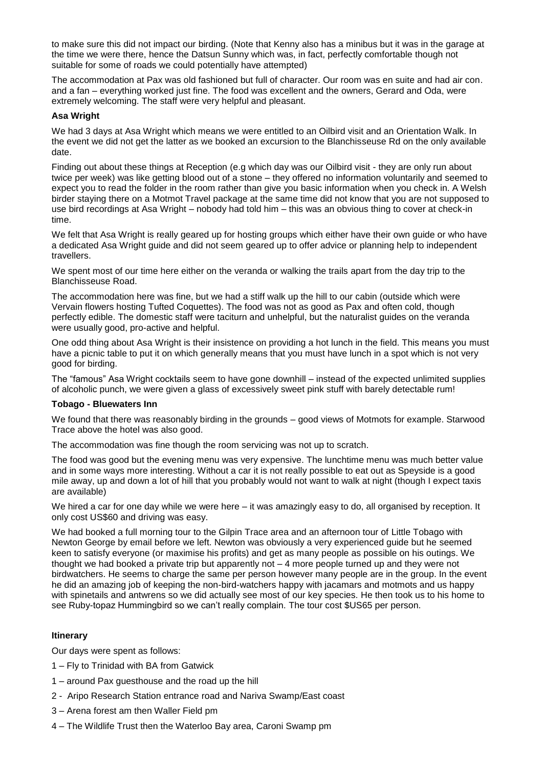to make sure this did not impact our birding. (Note that Kenny also has a minibus but it was in the garage at the time we were there, hence the Datsun Sunny which was, in fact, perfectly comfortable though not suitable for some of roads we could potentially have attempted)

The accommodation at Pax was old fashioned but full of character. Our room was en suite and had air con. and a fan – everything worked just fine. The food was excellent and the owners, Gerard and Oda, were extremely welcoming. The staff were very helpful and pleasant.

### **Asa Wright**

We had 3 days at Asa Wright which means we were entitled to an Oilbird visit and an Orientation Walk. In the event we did not get the latter as we booked an excursion to the Blanchisseuse Rd on the only available date.

Finding out about these things at Reception (e.g which day was our Oilbird visit - they are only run about twice per week) was like getting blood out of a stone – they offered no information voluntarily and seemed to expect you to read the folder in the room rather than give you basic information when you check in. A Welsh birder staying there on a Motmot Travel package at the same time did not know that you are not supposed to use bird recordings at Asa Wright – nobody had told him – this was an obvious thing to cover at check-in time.

We felt that Asa Wright is really geared up for hosting groups which either have their own guide or who have a dedicated Asa Wright guide and did not seem geared up to offer advice or planning help to independent travellers.

We spent most of our time here either on the veranda or walking the trails apart from the day trip to the Blanchisseuse Road.

The accommodation here was fine, but we had a stiff walk up the hill to our cabin (outside which were Vervain flowers hosting Tufted Coquettes). The food was not as good as Pax and often cold, though perfectly edible. The domestic staff were taciturn and unhelpful, but the naturalist guides on the veranda were usually good, pro-active and helpful.

One odd thing about Asa Wright is their insistence on providing a hot lunch in the field. This means you must have a picnic table to put it on which generally means that you must have lunch in a spot which is not very good for birding.

The "famous" Asa Wright cocktails seem to have gone downhill – instead of the expected unlimited supplies of alcoholic punch, we were given a glass of excessively sweet pink stuff with barely detectable rum!

#### **Tobago - Bluewaters Inn**

We found that there was reasonably birding in the grounds – good views of Motmots for example. Starwood Trace above the hotel was also good.

The accommodation was fine though the room servicing was not up to scratch.

The food was good but the evening menu was very expensive. The lunchtime menu was much better value and in some ways more interesting. Without a car it is not really possible to eat out as Speyside is a good mile away, up and down a lot of hill that you probably would not want to walk at night (though I expect taxis are available)

We hired a car for one day while we were here – it was amazingly easy to do, all organised by reception. It only cost US\$60 and driving was easy.

We had booked a full morning tour to the Gilpin Trace area and an afternoon tour of Little Tobago with Newton George by email before we left. Newton was obviously a very experienced guide but he seemed keen to satisfy everyone (or maximise his profits) and get as many people as possible on his outings. We thought we had booked a private trip but apparently not – 4 more people turned up and they were not birdwatchers. He seems to charge the same per person however many people are in the group. In the event he did an amazing job of keeping the non-bird-watchers happy with jacamars and motmots and us happy with spinetails and antwrens so we did actually see most of our key species. He then took us to his home to see Ruby-topaz Hummingbird so we can't really complain. The tour cost \$US65 per person.

# **Itinerary**

Our days were spent as follows:

- 1 Fly to Trinidad with BA from Gatwick
- 1 around Pax guesthouse and the road up the hill
- 2 Aripo Research Station entrance road and Nariva Swamp/East coast
- 3 Arena forest am then Waller Field pm
- 4 The Wildlife Trust then the Waterloo Bay area, Caroni Swamp pm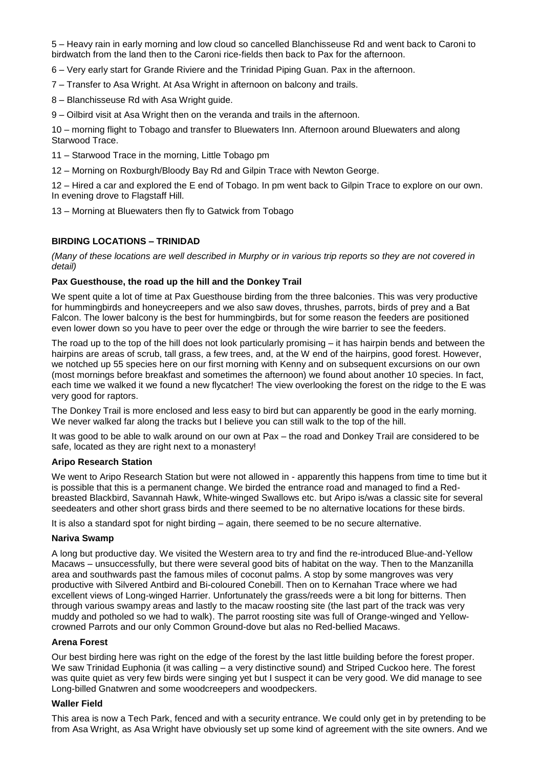5 – Heavy rain in early morning and low cloud so cancelled Blanchisseuse Rd and went back to Caroni to birdwatch from the land then to the Caroni rice-fields then back to Pax for the afternoon.

6 – Very early start for Grande Riviere and the Trinidad Piping Guan. Pax in the afternoon.

- 7 Transfer to Asa Wright. At Asa Wright in afternoon on balcony and trails.
- 8 Blanchisseuse Rd with Asa Wright guide.

9 – Oilbird visit at Asa Wright then on the veranda and trails in the afternoon.

10 – morning flight to Tobago and transfer to Bluewaters Inn. Afternoon around Bluewaters and along Starwood Trace.

- 11 Starwood Trace in the morning, Little Tobago pm
- 12 Morning on Roxburgh/Bloody Bay Rd and Gilpin Trace with Newton George.

12 – Hired a car and explored the E end of Tobago. In pm went back to Gilpin Trace to explore on our own. In evening drove to Flagstaff Hill.

13 – Morning at Bluewaters then fly to Gatwick from Tobago

### **BIRDING LOCATIONS – TRINIDAD**

*(Many of these locations are well described in Murphy or in various trip reports so they are not covered in detail)*

#### **Pax Guesthouse, the road up the hill and the Donkey Trail**

We spent quite a lot of time at Pax Guesthouse birding from the three balconies. This was very productive for hummingbirds and honeycreepers and we also saw doves, thrushes, parrots, birds of prey and a Bat Falcon. The lower balcony is the best for hummingbirds, but for some reason the feeders are positioned even lower down so you have to peer over the edge or through the wire barrier to see the feeders.

The road up to the top of the hill does not look particularly promising – it has hairpin bends and between the hairpins are areas of scrub, tall grass, a few trees, and, at the W end of the hairpins, good forest. However, we notched up 55 species here on our first morning with Kenny and on subsequent excursions on our own (most mornings before breakfast and sometimes the afternoon) we found about another 10 species. In fact, each time we walked it we found a new flycatcher! The view overlooking the forest on the ridge to the E was very good for raptors.

The Donkey Trail is more enclosed and less easy to bird but can apparently be good in the early morning. We never walked far along the tracks but I believe you can still walk to the top of the hill.

It was good to be able to walk around on our own at Pax – the road and Donkey Trail are considered to be safe, located as they are right next to a monastery!

### **Aripo Research Station**

We went to Aripo Research Station but were not allowed in - apparently this happens from time to time but it is possible that this is a permanent change. We birded the entrance road and managed to find a Redbreasted Blackbird, Savannah Hawk, White-winged Swallows etc. but Aripo is/was a classic site for several seedeaters and other short grass birds and there seemed to be no alternative locations for these birds.

It is also a standard spot for night birding – again, there seemed to be no secure alternative.

#### **Nariva Swamp**

A long but productive day. We visited the Western area to try and find the re-introduced Blue-and-Yellow Macaws – unsuccessfully, but there were several good bits of habitat on the way. Then to the Manzanilla area and southwards past the famous miles of coconut palms. A stop by some mangroves was very productive with Silvered Antbird and Bi-coloured Conebill. Then on to Kernahan Trace where we had excellent views of Long-winged Harrier. Unfortunately the grass/reeds were a bit long for bitterns. Then through various swampy areas and lastly to the macaw roosting site (the last part of the track was very muddy and potholed so we had to walk). The parrot roosting site was full of Orange-winged and Yellowcrowned Parrots and our only Common Ground-dove but alas no Red-bellied Macaws.

### **Arena Forest**

Our best birding here was right on the edge of the forest by the last little building before the forest proper. We saw Trinidad Euphonia (it was calling – a very distinctive sound) and Striped Cuckoo here. The forest was quite quiet as very few birds were singing yet but I suspect it can be very good. We did manage to see Long-billed Gnatwren and some woodcreepers and woodpeckers.

### **Waller Field**

This area is now a Tech Park, fenced and with a security entrance. We could only get in by pretending to be from Asa Wright, as Asa Wright have obviously set up some kind of agreement with the site owners. And we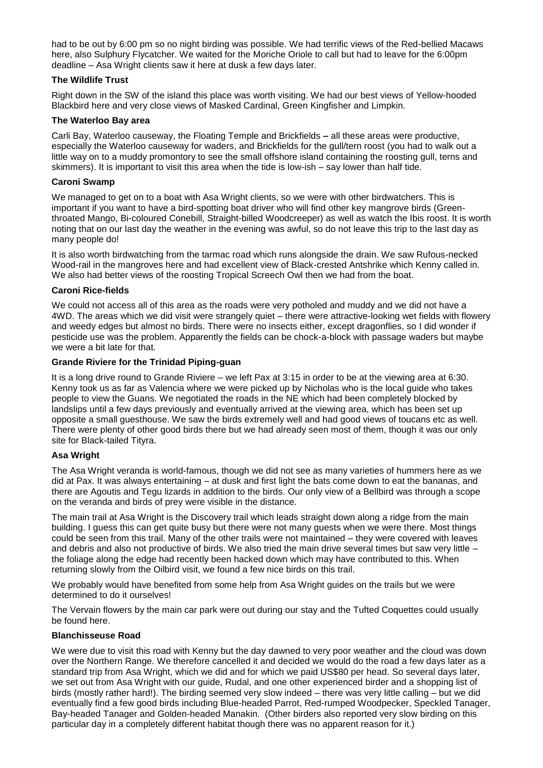had to be out by 6:00 pm so no night birding was possible. We had terrific views of the Red-bellied Macaws here, also Sulphury Flycatcher. We waited for the Moriche Oriole to call but had to leave for the 6:00pm deadline – Asa Wright clients saw it here at dusk a few days later.

### **The Wildlife Trust**

Right down in the SW of the island this place was worth visiting. We had our best views of Yellow-hooded Blackbird here and very close views of Masked Cardinal, Green Kingfisher and Limpkin.

# **The Waterloo Bay area**

Carli Bay, Waterloo causeway, the Floating Temple and Brickfields **–** all these areas were productive, especially the Waterloo causeway for waders, and Brickfields for the gull/tern roost (you had to walk out a little way on to a muddy promontory to see the small offshore island containing the roosting gull, terns and skimmers). It is important to visit this area when the tide is low-ish – say lower than half tide.

### **Caroni Swamp**

We managed to get on to a boat with Asa Wright clients, so we were with other birdwatchers. This is important if you want to have a bird-spotting boat driver who will find other key mangrove birds (Greenthroated Mango, Bi-coloured Conebill, Straight-billed Woodcreeper) as well as watch the Ibis roost. It is worth noting that on our last day the weather in the evening was awful, so do not leave this trip to the last day as many people do!

It is also worth birdwatching from the tarmac road which runs alongside the drain. We saw Rufous-necked Wood-rail in the mangroves here and had excellent view of Black-crested Antshrike which Kenny called in. We also had better views of the roosting Tropical Screech Owl then we had from the boat.

### **Caroni Rice-fields**

We could not access all of this area as the roads were very potholed and muddy and we did not have a 4WD. The areas which we did visit were strangely quiet – there were attractive-looking wet fields with flowery and weedy edges but almost no birds. There were no insects either, except dragonflies, so I did wonder if pesticide use was the problem. Apparently the fields can be chock-a-block with passage waders but maybe we were a bit late for that.

### **Grande Riviere for the Trinidad Piping-guan**

It is a long drive round to Grande Riviere – we left Pax at 3:15 in order to be at the viewing area at 6:30. Kenny took us as far as Valencia where we were picked up by Nicholas who is the local guide who takes people to view the Guans. We negotiated the roads in the NE which had been completely blocked by landslips until a few days previously and eventually arrived at the viewing area, which has been set up opposite a small guesthouse. We saw the birds extremely well and had good views of toucans etc as well. There were plenty of other good birds there but we had already seen most of them, though it was our only site for Black-tailed Tityra.

# **Asa Wright**

The Asa Wright veranda is world-famous, though we did not see as many varieties of hummers here as we did at Pax. It was always entertaining – at dusk and first light the bats come down to eat the bananas, and there are Agoutis and Tegu lizards in addition to the birds. Our only view of a Bellbird was through a scope on the veranda and birds of prey were visible in the distance.

The main trail at Asa Wright is the Discovery trail which leads straight down along a ridge from the main building. I guess this can get quite busy but there were not many guests when we were there. Most things could be seen from this trail. Many of the other trails were not maintained – they were covered with leaves and debris and also not productive of birds. We also tried the main drive several times but saw very little – the foliage along the edge had recently been hacked down which may have contributed to this. When returning slowly from the Oilbird visit, we found a few nice birds on this trail.

We probably would have benefited from some help from Asa Wright guides on the trails but we were determined to do it ourselves!

The Vervain flowers by the main car park were out during our stay and the Tufted Coquettes could usually be found here.

#### **Blanchisseuse Road**

We were due to visit this road with Kenny but the day dawned to very poor weather and the cloud was down over the Northern Range. We therefore cancelled it and decided we would do the road a few days later as a standard trip from Asa Wright, which we did and for which we paid US\$80 per head. So several days later, we set out from Asa Wright with our guide, Rudal, and one other experienced birder and a shopping list of birds (mostly rather hard!). The birding seemed very slow indeed – there was very little calling – but we did eventually find a few good birds including Blue-headed Parrot, Red-rumped Woodpecker, Speckled Tanager, Bay-headed Tanager and Golden-headed Manakin. (Other birders also reported very slow birding on this particular day in a completely different habitat though there was no apparent reason for it.)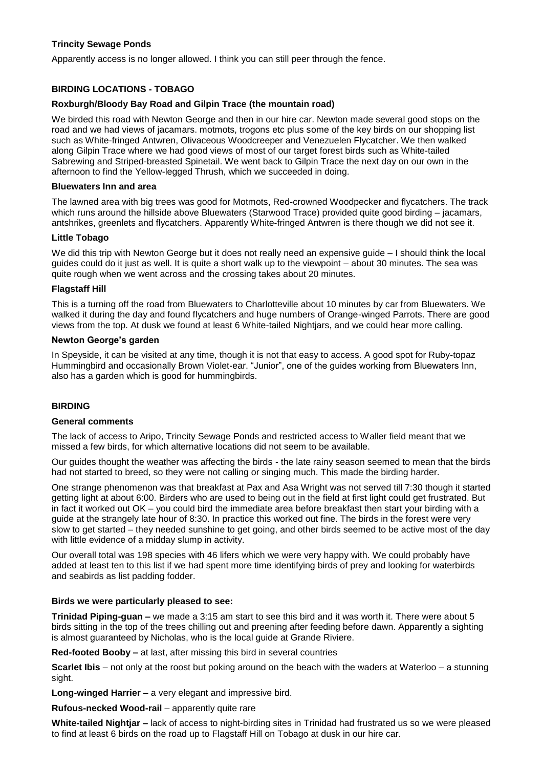# **Trincity Sewage Ponds**

Apparently access is no longer allowed. I think you can still peer through the fence.

# **BIRDING LOCATIONS - TOBAGO**

### **Roxburgh/Bloody Bay Road and Gilpin Trace (the mountain road)**

We birded this road with Newton George and then in our hire car. Newton made several good stops on the road and we had views of jacamars. motmots, trogons etc plus some of the key birds on our shopping list such as White-fringed Antwren, Olivaceous Woodcreeper and Venezuelen Flycatcher. We then walked along Gilpin Trace where we had good views of most of our target forest birds such as White-tailed Sabrewing and Striped-breasted Spinetail. We went back to Gilpin Trace the next day on our own in the afternoon to find the Yellow-legged Thrush, which we succeeded in doing.

#### **Bluewaters Inn and area**

The lawned area with big trees was good for Motmots, Red-crowned Woodpecker and flycatchers. The track which runs around the hillside above Bluewaters (Starwood Trace) provided quite good birding – jacamars, antshrikes, greenlets and flycatchers. Apparently White-fringed Antwren is there though we did not see it.

### **Little Tobago**

We did this trip with Newton George but it does not really need an expensive guide – I should think the local guides could do it just as well. It is quite a short walk up to the viewpoint – about 30 minutes. The sea was quite rough when we went across and the crossing takes about 20 minutes.

### **Flagstaff Hill**

This is a turning off the road from Bluewaters to Charlotteville about 10 minutes by car from Bluewaters. We walked it during the day and found flycatchers and huge numbers of Orange-winged Parrots. There are good views from the top. At dusk we found at least 6 White-tailed Nightjars, and we could hear more calling.

### **Newton George's garden**

In Speyside, it can be visited at any time, though it is not that easy to access. A good spot for Ruby-topaz Hummingbird and occasionally Brown Violet-ear. "Junior", one of the guides working from Bluewaters Inn, also has a garden which is good for hummingbirds.

# **BIRDING**

#### **General comments**

The lack of access to Aripo, Trincity Sewage Ponds and restricted access to Waller field meant that we missed a few birds, for which alternative locations did not seem to be available.

Our guides thought the weather was affecting the birds - the late rainy season seemed to mean that the birds had not started to breed, so they were not calling or singing much. This made the birding harder.

One strange phenomenon was that breakfast at Pax and Asa Wright was not served till 7:30 though it started getting light at about 6:00. Birders who are used to being out in the field at first light could get frustrated. But in fact it worked out OK – you could bird the immediate area before breakfast then start your birding with a guide at the strangely late hour of 8:30. In practice this worked out fine. The birds in the forest were very slow to get started – they needed sunshine to get going, and other birds seemed to be active most of the day with little evidence of a midday slump in activity.

Our overall total was 198 species with 46 lifers which we were very happy with. We could probably have added at least ten to this list if we had spent more time identifying birds of prey and looking for waterbirds and seabirds as list padding fodder.

# **Birds we were particularly pleased to see:**

**Trinidad Piping-guan –** we made a 3:15 am start to see this bird and it was worth it. There were about 5 birds sitting in the top of the trees chilling out and preening after feeding before dawn. Apparently a sighting is almost guaranteed by Nicholas, who is the local guide at Grande Riviere.

**Red-footed Booby –** at last, after missing this bird in several countries

**Scarlet Ibis** – not only at the roost but poking around on the beach with the waders at Waterloo – a stunning sight.

**Long-winged Harrier** – a very elegant and impressive bird.

**Rufous-necked Wood-rail** – apparently quite rare

**White-tailed Nightjar –** lack of access to night-birding sites in Trinidad had frustrated us so we were pleased to find at least 6 birds on the road up to Flagstaff Hill on Tobago at dusk in our hire car.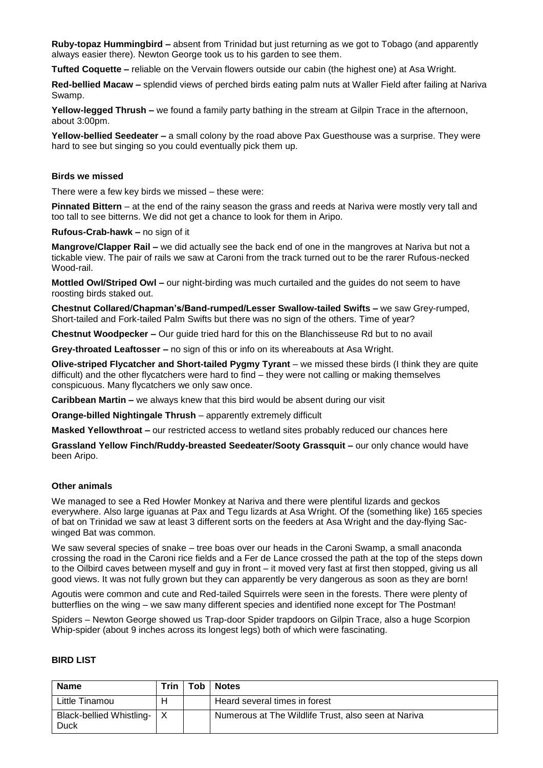**Ruby-topaz Hummingbird –** absent from Trinidad but just returning as we got to Tobago (and apparently always easier there). Newton George took us to his garden to see them.

**Tufted Coquette –** reliable on the Vervain flowers outside our cabin (the highest one) at Asa Wright.

**Red-bellied Macaw –** splendid views of perched birds eating palm nuts at Waller Field after failing at Nariva Swamp.

**Yellow-legged Thrush –** we found a family party bathing in the stream at Gilpin Trace in the afternoon, about 3:00pm.

**Yellow-bellied Seedeater –** a small colony by the road above Pax Guesthouse was a surprise. They were hard to see but singing so you could eventually pick them up.

#### **Birds we missed**

There were a few key birds we missed – these were:

**Pinnated Bittern** – at the end of the rainy season the grass and reeds at Nariva were mostly very tall and too tall to see bitterns. We did not get a chance to look for them in Aripo.

**Rufous-Crab-hawk –** no sign of it

**Mangrove/Clapper Rail –** we did actually see the back end of one in the mangroves at Nariva but not a tickable view. The pair of rails we saw at Caroni from the track turned out to be the rarer Rufous-necked Wood-rail.

**Mottled Owl/Striped Owl –** our night-birding was much curtailed and the guides do not seem to have roosting birds staked out.

**Chestnut Collared/Chapman's/Band-rumped/Lesser Swallow-tailed Swifts –** we saw Grey-rumped, Short-tailed and Fork-tailed Palm Swifts but there was no sign of the others. Time of year?

**Chestnut Woodpecker –** Our guide tried hard for this on the Blanchisseuse Rd but to no avail

**Grey-throated Leaftosser –** no sign of this or info on its whereabouts at Asa Wright.

**Olive-striped Flycatcher and Short-tailed Pygmy Tyrant** – we missed these birds (I think they are quite difficult) and the other flycatchers were hard to find – they were not calling or making themselves conspicuous. Many flycatchers we only saw once.

**Caribbean Martin –** we always knew that this bird would be absent during our visit

**Orange-billed Nightingale Thrush** – apparently extremely difficult

**Masked Yellowthroat –** our restricted access to wetland sites probably reduced our chances here

**Grassland Yellow Finch/Ruddy-breasted Seedeater/Sooty Grassquit –** our only chance would have been Aripo.

#### **Other animals**

We managed to see a Red Howler Monkey at Nariva and there were plentiful lizards and geckos everywhere. Also large iguanas at Pax and Tegu lizards at Asa Wright. Of the (something like) 165 species of bat on Trinidad we saw at least 3 different sorts on the feeders at Asa Wright and the day-flying Sacwinged Bat was common.

We saw several species of snake – tree boas over our heads in the Caroni Swamp, a small anaconda crossing the road in the Caroni rice fields and a Fer de Lance crossed the path at the top of the steps down to the Oilbird caves between myself and guy in front – it moved very fast at first then stopped, giving us all good views. It was not fully grown but they can apparently be very dangerous as soon as they are born!

Agoutis were common and cute and Red-tailed Squirrels were seen in the forests. There were plenty of butterflies on the wing – we saw many different species and identified none except for The Postman!

Spiders – Newton George showed us Trap-door Spider trapdoors on Gilpin Trace, also a huge Scorpion Whip-spider (about 9 inches across its longest legs) both of which were fascinating.

#### **BIRD LIST**

| <b>Name</b>                      | Trin | Tob | <b>Notes</b>                                        |
|----------------------------------|------|-----|-----------------------------------------------------|
| Little Tinamou                   | н    |     | Heard several times in forest                       |
| Black-bellied Whistling-<br>Duck |      |     | Numerous at The Wildlife Trust, also seen at Nariva |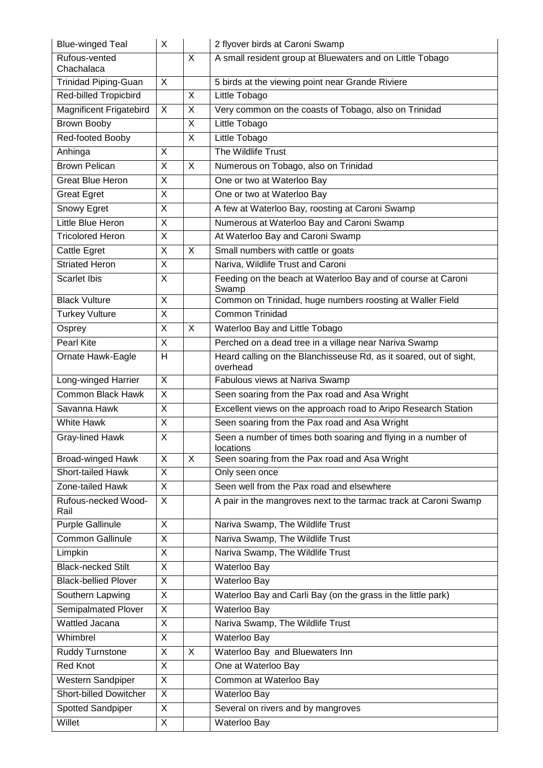| <b>Blue-winged Teal</b>      | X                       |                | 2 flyover birds at Caroni Swamp                                                |
|------------------------------|-------------------------|----------------|--------------------------------------------------------------------------------|
| Rufous-vented<br>Chachalaca  |                         | X              | A small resident group at Bluewaters and on Little Tobago                      |
| <b>Trinidad Piping-Guan</b>  | X                       |                | 5 birds at the viewing point near Grande Riviere                               |
| <b>Red-billed Tropicbird</b> |                         | $\overline{X}$ | Little Tobago                                                                  |
| Magnificent Frigatebird      | X                       | X              | Very common on the coasts of Tobago, also on Trinidad                          |
| Brown Booby                  |                         | $\overline{X}$ | Little Tobago                                                                  |
| Red-footed Booby             |                         | X              | Little Tobago                                                                  |
| Anhinga                      | X                       |                | The Wildlife Trust                                                             |
| <b>Brown Pelican</b>         | X                       | X              | Numerous on Tobago, also on Trinidad                                           |
| <b>Great Blue Heron</b>      | $\overline{X}$          |                | One or two at Waterloo Bay                                                     |
| <b>Great Egret</b>           | $\overline{\mathsf{x}}$ |                | One or two at Waterloo Bay                                                     |
| Snowy Egret                  | X                       |                | A few at Waterloo Bay, roosting at Caroni Swamp                                |
| Little Blue Heron            | $\overline{X}$          |                | Numerous at Waterloo Bay and Caroni Swamp                                      |
| <b>Tricolored Heron</b>      | $\overline{X}$          |                | At Waterloo Bay and Caroni Swamp                                               |
| Cattle Egret                 | $\overline{\mathsf{x}}$ | $\overline{X}$ | Small numbers with cattle or goats                                             |
| <b>Striated Heron</b>        | X                       |                | Nariva, Wildlife Trust and Caroni                                              |
| <b>Scarlet Ibis</b>          | $\overline{X}$          |                | Feeding on the beach at Waterloo Bay and of course at Caroni<br>Swamp          |
| <b>Black Vulture</b>         | X                       |                | Common on Trinidad, huge numbers roosting at Waller Field                      |
| <b>Turkey Vulture</b>        | $\overline{X}$          |                | Common Trinidad                                                                |
| Osprey                       | $\overline{X}$          | X              | Waterloo Bay and Little Tobago                                                 |
| <b>Pearl Kite</b>            | $\overline{X}$          |                | Perched on a dead tree in a village near Nariva Swamp                          |
| Ornate Hawk-Eagle            | H                       |                | Heard calling on the Blanchisseuse Rd, as it soared, out of sight,<br>overhead |
| Long-winged Harrier          | $\overline{X}$          |                | Fabulous views at Nariva Swamp                                                 |
| <b>Common Black Hawk</b>     | X                       |                | Seen soaring from the Pax road and Asa Wright                                  |
| Savanna Hawk                 | $\overline{X}$          |                | Excellent views on the approach road to Aripo Research Station                 |
| <b>White Hawk</b>            | $\overline{X}$          |                | Seen soaring from the Pax road and Asa Wright                                  |
| Gray-lined Hawk              | $\mathsf{X}$            |                | Seen a number of times both soaring and flying in a number of<br>locations     |
| <b>Broad-winged Hawk</b>     | X                       | X              | Seen soaring from the Pax road and Asa Wright                                  |
| Short-tailed Hawk            | $\overline{X}$          |                | Only seen once                                                                 |
| Zone-tailed Hawk             | $\overline{X}$          |                | Seen well from the Pax road and elsewhere                                      |
| Rufous-necked Wood-<br>Rail  | $\sf X$                 |                | A pair in the mangroves next to the tarmac track at Caroni Swamp               |
| <b>Purple Gallinule</b>      | X                       |                | Nariva Swamp, The Wildlife Trust                                               |
| <b>Common Gallinule</b>      | $\overline{\mathsf{x}}$ |                | Nariva Swamp, The Wildlife Trust                                               |
| Limpkin                      | X                       |                | Nariva Swamp, The Wildlife Trust                                               |
| <b>Black-necked Stilt</b>    | $\overline{X}$          |                | Waterloo Bay                                                                   |
| <b>Black-bellied Plover</b>  | X                       |                | Waterloo Bay                                                                   |
| Southern Lapwing             | $\mathsf{X}$            |                | Waterloo Bay and Carli Bay (on the grass in the little park)                   |
| Semipalmated Plover          | X                       |                | Waterloo Bay                                                                   |
| Wattled Jacana               | X                       |                | Nariva Swamp, The Wildlife Trust                                               |
| Whimbrel                     | X                       |                | Waterloo Bay                                                                   |
| Ruddy Turnstone              | X                       | X              | Waterloo Bay and Bluewaters Inn                                                |
| Red Knot                     | $\overline{X}$          |                | One at Waterloo Bay                                                            |
| Western Sandpiper            | X                       |                | Common at Waterloo Bay                                                         |
| Short-billed Dowitcher       | X                       |                | Waterloo Bay                                                                   |
| Spotted Sandpiper            | $\overline{X}$          |                | Several on rivers and by mangroves                                             |
| Willet                       | X                       |                | Waterloo Bay                                                                   |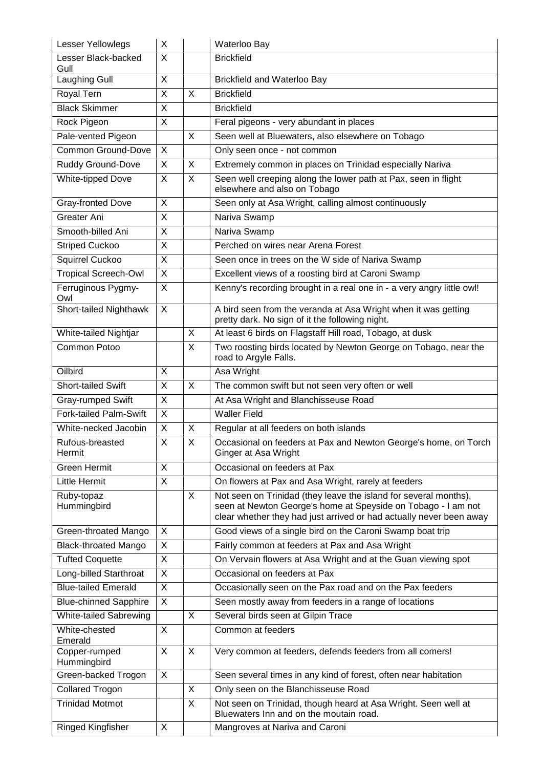| <b>Lesser Yellowlegs</b>      | X                       |                         | Waterloo Bay                                                                                                                                                                                             |
|-------------------------------|-------------------------|-------------------------|----------------------------------------------------------------------------------------------------------------------------------------------------------------------------------------------------------|
| Lesser Black-backed           | X                       |                         | <b>Brickfield</b>                                                                                                                                                                                        |
| Gull<br><b>Laughing Gull</b>  | X                       |                         | Brickfield and Waterloo Bay                                                                                                                                                                              |
| Royal Tern                    | X                       | X                       | <b>Brickfield</b>                                                                                                                                                                                        |
| <b>Black Skimmer</b>          | X                       |                         |                                                                                                                                                                                                          |
|                               | $\overline{X}$          |                         | <b>Brickfield</b>                                                                                                                                                                                        |
| Rock Pigeon                   |                         |                         | Feral pigeons - very abundant in places                                                                                                                                                                  |
| Pale-vented Pigeon            |                         | X                       | Seen well at Bluewaters, also elsewhere on Tobago                                                                                                                                                        |
| <b>Common Ground-Dove</b>     | $\overline{\mathsf{x}}$ |                         | Only seen once - not common                                                                                                                                                                              |
| Ruddy Ground-Dove             | X                       | X                       | Extremely common in places on Trinidad especially Nariva                                                                                                                                                 |
| White-tipped Dove             | $\mathsf{X}$            | X                       | Seen well creeping along the lower path at Pax, seen in flight<br>elsewhere and also on Tobago                                                                                                           |
| Gray-fronted Dove             | X                       |                         | Seen only at Asa Wright, calling almost continuously                                                                                                                                                     |
| Greater Ani                   | $\overline{X}$          |                         | Nariva Swamp                                                                                                                                                                                             |
| Smooth-billed Ani             | X                       |                         | Nariva Swamp                                                                                                                                                                                             |
| <b>Striped Cuckoo</b>         | X                       |                         | Perched on wires near Arena Forest                                                                                                                                                                       |
| Squirrel Cuckoo               | $\overline{\mathsf{x}}$ |                         | Seen once in trees on the W side of Nariva Swamp                                                                                                                                                         |
| <b>Tropical Screech-Owl</b>   | X                       |                         | Excellent views of a roosting bird at Caroni Swamp                                                                                                                                                       |
| Ferruginous Pygmy-            | $\overline{X}$          |                         | Kenny's recording brought in a real one in - a very angry little owl!                                                                                                                                    |
| Owl                           |                         |                         |                                                                                                                                                                                                          |
| Short-tailed Nighthawk        | X                       |                         | A bird seen from the veranda at Asa Wright when it was getting<br>pretty dark. No sign of it the following night.                                                                                        |
| White-tailed Nightjar         |                         | X                       | At least 6 birds on Flagstaff Hill road, Tobago, at dusk                                                                                                                                                 |
| Common Potoo                  |                         | $\mathsf{X}$            | Two roosting birds located by Newton George on Tobago, near the                                                                                                                                          |
|                               |                         |                         | road to Argyle Falls.                                                                                                                                                                                    |
| Oilbird                       | X                       |                         | Asa Wright                                                                                                                                                                                               |
| Short-tailed Swift            | $\overline{X}$          | X                       | The common swift but not seen very often or well                                                                                                                                                         |
| Gray-rumped Swift             | X                       |                         | At Asa Wright and Blanchisseuse Road                                                                                                                                                                     |
| Fork-tailed Palm-Swift        | $\overline{X}$          |                         | <b>Waller Field</b>                                                                                                                                                                                      |
| White-necked Jacobin          | X                       | X                       | Regular at all feeders on both islands                                                                                                                                                                   |
| Rufous-breasted               | X                       | X                       | Occasional on feeders at Pax and Newton George's home, on Torch                                                                                                                                          |
| Hermit                        |                         |                         | Ginger at Asa Wright                                                                                                                                                                                     |
| <b>Green Hermit</b>           | X                       |                         | Occasional on feeders at Pax                                                                                                                                                                             |
| Little Hermit                 | X                       |                         | On flowers at Pax and Asa Wright, rarely at feeders                                                                                                                                                      |
| Ruby-topaz<br>Hummingbird     |                         | X                       | Not seen on Trinidad (they leave the island for several months),<br>seen at Newton George's home at Speyside on Tobago - I am not<br>clear whether they had just arrived or had actually never been away |
| Green-throated Mango          | X                       |                         | Good views of a single bird on the Caroni Swamp boat trip                                                                                                                                                |
| <b>Black-throated Mango</b>   | X                       |                         | Fairly common at feeders at Pax and Asa Wright                                                                                                                                                           |
| <b>Tufted Coquette</b>        | X                       |                         | On Vervain flowers at Asa Wright and at the Guan viewing spot                                                                                                                                            |
| Long-billed Starthroat        | X                       |                         | Occasional on feeders at Pax                                                                                                                                                                             |
| <b>Blue-tailed Emerald</b>    | $\mathsf{X}$            |                         | Occasionally seen on the Pax road and on the Pax feeders                                                                                                                                                 |
| <b>Blue-chinned Sapphire</b>  | X                       |                         | Seen mostly away from feeders in a range of locations                                                                                                                                                    |
| <b>White-tailed Sabrewing</b> |                         | $\overline{\mathsf{x}}$ | Several birds seen at Gilpin Trace                                                                                                                                                                       |
| White-chested                 | $\sf X$                 |                         | Common at feeders                                                                                                                                                                                        |
| Emerald                       |                         |                         |                                                                                                                                                                                                          |
| Copper-rumped<br>Hummingbird  | X                       | X                       | Very common at feeders, defends feeders from all comers!                                                                                                                                                 |
| Green-backed Trogon           | $\sf X$                 |                         | Seen several times in any kind of forest, often near habitation                                                                                                                                          |
| <b>Collared Trogon</b>        |                         | X                       | Only seen on the Blanchisseuse Road                                                                                                                                                                      |
| <b>Trinidad Motmot</b>        |                         | $\overline{\mathsf{x}}$ | Not seen on Trinidad, though heard at Asa Wright. Seen well at                                                                                                                                           |
|                               |                         |                         | Bluewaters Inn and on the moutain road.                                                                                                                                                                  |
| Ringed Kingfisher             | X                       |                         | Mangroves at Nariva and Caroni                                                                                                                                                                           |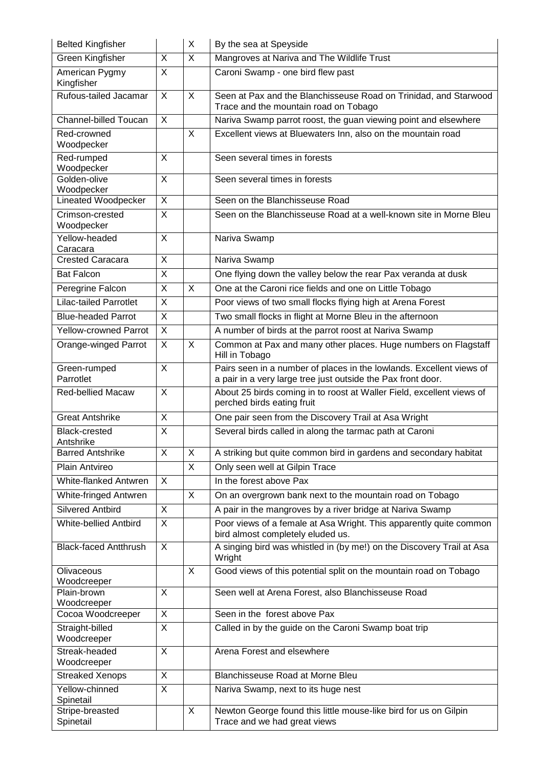| <b>Belted Kingfisher</b>          |                         | X            | By the sea at Speyside                                                                                                               |
|-----------------------------------|-------------------------|--------------|--------------------------------------------------------------------------------------------------------------------------------------|
| Green Kingfisher                  | X                       | $\times$     | Mangroves at Nariva and The Wildlife Trust                                                                                           |
| American Pygmy<br>Kingfisher      | $\mathsf{X}$            |              | Caroni Swamp - one bird flew past                                                                                                    |
| Rufous-tailed Jacamar             | X                       | X            | Seen at Pax and the Blanchisseuse Road on Trinidad, and Starwood<br>Trace and the mountain road on Tobago                            |
| Channel-billed Toucan             | X                       |              | Nariva Swamp parrot roost, the guan viewing point and elsewhere                                                                      |
| Red-crowned                       |                         | X            | Excellent views at Bluewaters Inn, also on the mountain road                                                                         |
| Woodpecker                        |                         |              |                                                                                                                                      |
| Red-rumped<br>Woodpecker          | X                       |              | Seen several times in forests                                                                                                        |
| Golden-olive                      | $\overline{X}$          |              | Seen several times in forests                                                                                                        |
| Woodpecker<br>Lineated Woodpecker | $\overline{\mathsf{x}}$ |              | Seen on the Blanchisseuse Road                                                                                                       |
| Crimson-crested                   | X                       |              | Seen on the Blanchisseuse Road at a well-known site in Morne Bleu                                                                    |
| Woodpecker<br>Yellow-headed       | X                       |              | Nariva Swamp                                                                                                                         |
| Caracara                          |                         |              |                                                                                                                                      |
| <b>Crested Caracara</b>           | $\overline{X}$          |              | Nariva Swamp                                                                                                                         |
| <b>Bat Falcon</b>                 | X                       |              | One flying down the valley below the rear Pax veranda at dusk                                                                        |
| Peregrine Falcon                  | $\overline{\mathsf{x}}$ | X            | One at the Caroni rice fields and one on Little Tobago                                                                               |
| <b>Lilac-tailed Parrotlet</b>     | $\overline{X}$          |              | Poor views of two small flocks flying high at Arena Forest                                                                           |
| <b>Blue-headed Parrot</b>         | $\mathsf{X}$            |              | Two small flocks in flight at Morne Bleu in the afternoon                                                                            |
| <b>Yellow-crowned Parrot</b>      | $\overline{X}$          |              | A number of birds at the parrot roost at Nariva Swamp                                                                                |
| Orange-winged Parrot              | X                       | X            | Common at Pax and many other places. Huge numbers on Flagstaff<br>Hill in Tobago                                                     |
| Green-rumped<br>Parrotlet         | X                       |              | Pairs seen in a number of places in the lowlands. Excellent views of<br>a pair in a very large tree just outside the Pax front door. |
| <b>Red-bellied Macaw</b>          | $\overline{\mathsf{x}}$ |              | About 25 birds coming in to roost at Waller Field, excellent views of<br>perched birds eating fruit                                  |
| <b>Great Antshrike</b>            | X                       |              | One pair seen from the Discovery Trail at Asa Wright                                                                                 |
| <b>Black-crested</b><br>Antshrike | X                       |              | Several birds called in along the tarmac path at Caroni                                                                              |
| <b>Barred Antshrike</b>           | X                       | X            | A striking but quite common bird in gardens and secondary habitat                                                                    |
| <b>Plain Antvireo</b>             |                         | $\mathsf{X}$ | Only seen well at Gilpin Trace                                                                                                       |
| White-flanked Antwren             | X                       |              | In the forest above Pax                                                                                                              |
| White-fringed Antwren             |                         | X            | On an overgrown bank next to the mountain road on Tobago                                                                             |
| <b>Silvered Antbird</b>           | X                       |              | A pair in the mangroves by a river bridge at Nariva Swamp                                                                            |
| White-bellied Antbird             | $\overline{\mathsf{x}}$ |              | Poor views of a female at Asa Wright. This apparently quite common                                                                   |
|                                   |                         |              | bird almost completely eluded us.                                                                                                    |
| <b>Black-faced Antthrush</b>      | X                       |              | A singing bird was whistled in (by me!) on the Discovery Trail at Asa<br>Wright                                                      |
| Olivaceous                        |                         | X            | Good views of this potential split on the mountain road on Tobago                                                                    |
| Woodcreeper<br>Plain-brown        | X                       |              | Seen well at Arena Forest, also Blanchisseuse Road                                                                                   |
| Woodcreeper                       |                         |              |                                                                                                                                      |
| Cocoa Woodcreeper                 | X                       |              | Seen in the forest above Pax                                                                                                         |
| Straight-billed<br>Woodcreeper    | X                       |              | Called in by the guide on the Caroni Swamp boat trip                                                                                 |
| Streak-headed<br>Woodcreeper      | X                       |              | Arena Forest and elsewhere                                                                                                           |
| <b>Streaked Xenops</b>            | X                       |              | <b>Blanchisseuse Road at Morne Bleu</b>                                                                                              |
| Yellow-chinned<br>Spinetail       | X                       |              | Nariva Swamp, next to its huge nest                                                                                                  |
| Stripe-breasted<br>Spinetail      |                         | X            | Newton George found this little mouse-like bird for us on Gilpin<br>Trace and we had great views                                     |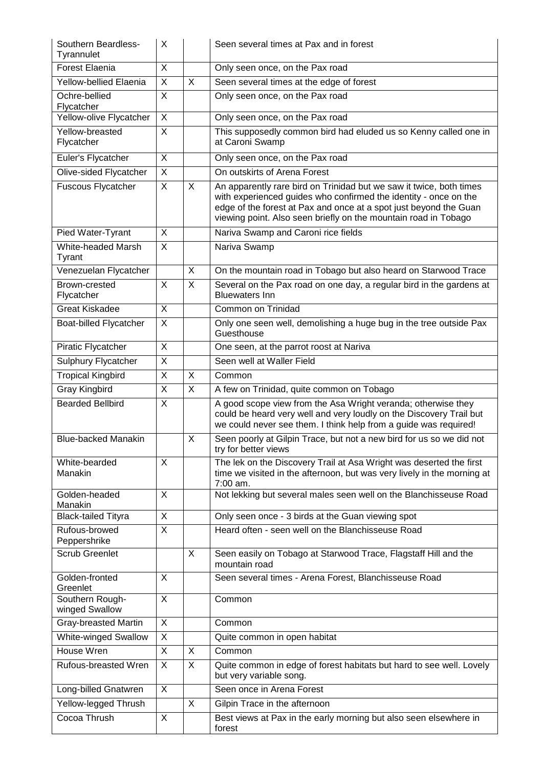| Southern Beardless-<br>Tyrannulet | X                       |                | Seen several times at Pax and in forest                                                                                                                                                                                                                                         |
|-----------------------------------|-------------------------|----------------|---------------------------------------------------------------------------------------------------------------------------------------------------------------------------------------------------------------------------------------------------------------------------------|
| <b>Forest Elaenia</b>             | X                       |                | Only seen once, on the Pax road                                                                                                                                                                                                                                                 |
| Yellow-bellied Elaenia            | $\overline{X}$          | $\overline{X}$ | Seen several times at the edge of forest                                                                                                                                                                                                                                        |
| Ochre-bellied<br>Flycatcher       | X                       |                | Only seen once, on the Pax road                                                                                                                                                                                                                                                 |
| Yellow-olive Flycatcher           | $\overline{X}$          |                | Only seen once, on the Pax road                                                                                                                                                                                                                                                 |
| Yellow-breasted<br>Flycatcher     | X                       |                | This supposedly common bird had eluded us so Kenny called one in<br>at Caroni Swamp                                                                                                                                                                                             |
| Euler's Flycatcher                | $\sf X$                 |                | Only seen once, on the Pax road                                                                                                                                                                                                                                                 |
| Olive-sided Flycatcher            | $\overline{X}$          |                | On outskirts of Arena Forest                                                                                                                                                                                                                                                    |
| <b>Fuscous Flycatcher</b>         | X                       | X              | An apparently rare bird on Trinidad but we saw it twice, both times<br>with experienced guides who confirmed the identity - once on the<br>edge of the forest at Pax and once at a spot just beyond the Guan<br>viewing point. Also seen briefly on the mountain road in Tobago |
| Pied Water-Tyrant                 | X                       |                | Nariva Swamp and Caroni rice fields                                                                                                                                                                                                                                             |
| White-headed Marsh<br>Tyrant      | $\overline{X}$          |                | Nariva Swamp                                                                                                                                                                                                                                                                    |
| Venezuelan Flycatcher             |                         | X              | On the mountain road in Tobago but also heard on Starwood Trace                                                                                                                                                                                                                 |
| Brown-crested<br>Flycatcher       | X                       | X              | Several on the Pax road on one day, a regular bird in the gardens at<br><b>Bluewaters Inn</b>                                                                                                                                                                                   |
| <b>Great Kiskadee</b>             | $\overline{X}$          |                | Common on Trinidad                                                                                                                                                                                                                                                              |
| Boat-billed Flycatcher            | X                       |                | Only one seen well, demolishing a huge bug in the tree outside Pax<br>Guesthouse                                                                                                                                                                                                |
| Piratic Flycatcher                | $\overline{X}$          |                | One seen, at the parrot roost at Nariva                                                                                                                                                                                                                                         |
| <b>Sulphury Flycatcher</b>        | $\overline{\mathsf{x}}$ |                | Seen well at Waller Field                                                                                                                                                                                                                                                       |
| <b>Tropical Kingbird</b>          | X                       | X              | Common                                                                                                                                                                                                                                                                          |
| <b>Gray Kingbird</b>              | $\overline{\mathsf{x}}$ | X              | A few on Trinidad, quite common on Tobago                                                                                                                                                                                                                                       |
| <b>Bearded Bellbird</b>           | $\overline{X}$          |                | A good scope view from the Asa Wright veranda; otherwise they<br>could be heard very well and very loudly on the Discovery Trail but<br>we could never see them. I think help from a guide was required!                                                                        |
| <b>Blue-backed Manakin</b>        |                         | X              | Seen poorly at Gilpin Trace, but not a new bird for us so we did not<br>try for better views                                                                                                                                                                                    |
| White-bearded<br>Manakin          | X                       |                | The lek on the Discovery Trail at Asa Wright was deserted the first<br>time we visited in the afternoon, but was very lively in the morning at<br>7:00 am.                                                                                                                      |
| Golden-headed<br>Manakin          | X                       |                | Not lekking but several males seen well on the Blanchisseuse Road                                                                                                                                                                                                               |
| <b>Black-tailed Tityra</b>        | X                       |                | Only seen once - 3 birds at the Guan viewing spot                                                                                                                                                                                                                               |
| Rufous-browed<br>Peppershrike     | $\mathsf{X}$            |                | Heard often - seen well on the Blanchisseuse Road                                                                                                                                                                                                                               |
| <b>Scrub Greenlet</b>             |                         | X              | Seen easily on Tobago at Starwood Trace, Flagstaff Hill and the<br>mountain road                                                                                                                                                                                                |
| Golden-fronted<br>Greenlet        | X                       |                | Seen several times - Arena Forest, Blanchisseuse Road                                                                                                                                                                                                                           |
| Southern Rough-<br>winged Swallow | X                       |                | Common                                                                                                                                                                                                                                                                          |
| <b>Gray-breasted Martin</b>       | X                       |                | Common                                                                                                                                                                                                                                                                          |
| White-winged Swallow              | X                       |                | Quite common in open habitat                                                                                                                                                                                                                                                    |
| House Wren                        | $\overline{X}$          | $\overline{X}$ | Common                                                                                                                                                                                                                                                                          |
| Rufous-breasted Wren              | X                       | X              | Quite common in edge of forest habitats but hard to see well. Lovely<br>but very variable song.                                                                                                                                                                                 |
| Long-billed Gnatwren              | X                       |                | Seen once in Arena Forest                                                                                                                                                                                                                                                       |
| Yellow-legged Thrush              |                         | X              | Gilpin Trace in the afternoon                                                                                                                                                                                                                                                   |
| Cocoa Thrush                      | X                       |                | Best views at Pax in the early morning but also seen elsewhere in<br>forest                                                                                                                                                                                                     |